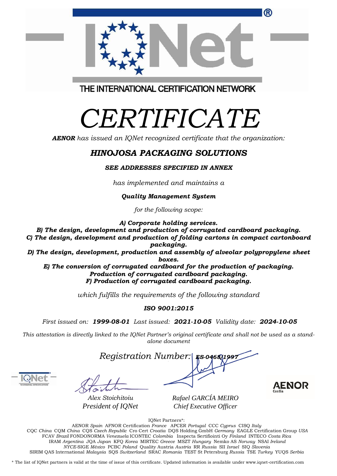| CQC China CQM China CQS Czech Republic Cro Cert Croatia DQS Holding GmbH Germany EAGLE Certification Group USA                                     |
|----------------------------------------------------------------------------------------------------------------------------------------------------|
| FCAV Brazil FONDONORMA Venezuela ICONTEC Colombia Inspecta Sertifiointi Oy Finland INTECO Costa Rica                                               |
| IRAM Argentina JQA Japan KFQ Korea MIRTEC Greece MSZT Hungary Nemko AS Norway NSAI Ireland                                                         |
| NYCE-SIGE México PCBC Poland Quality Austria Austria RR Russia SII Israel SIO Slovenia                                                             |
| SIRIM OAS International Malaysia SOS Switzerland SRAC Romania TEST St Petersburg Russia TSE Turkey YUOS Serbia                                     |
|                                                                                                                                                    |
| * The list of IQNet partners is valid at the time of issue of this certificate. Updated information is available under www.iqnet-certification.com |

®

THE INTERNATIONAL CERTIFICATION NETWORK

# *CERTIFICATE*

*AENOR has issued an IQNet recognized certificate that the organization:*

## *HINOJOSA PACKAGING SOLUTIONS*

#### *SEE ADDRESSES SPECIFIED IN ANNEX*

*has implemented and maintains a*

#### *Quality Management System*

*for the following scope:* 

*A) Corporate holding services.*

*B) The design, development and production of corrugated cardboard packaging. C) The design, development and production of folding cartons in compact cartonboard packaging.*

*D) The design, development, production and assembly of alveolar polypropylene sheet boxes.*

*E) The conversion of corrugated cardboard for the production of packaging. Production of corrugated cardboard packaging. F) Production of corrugated cardboard packaging.*

*which fulfills the requirements of the following standard*

### *ISO 9001:2015*

*First issued on: 1999-08-01 Last issued: 2021-10-05 Validity date: 2024-10-05*

This attestation is directly linked to the IQNet Partner's original certificate and shall not be used as a stand*alone document*



*Alex Stoichitoiu President of IQNet*

*Rafael GARCÍA MEIRO Chief Executive Officer*





*Registration Number:* 

IQNet Partners\*: AENOR *Spain* AFNOR Certification *France* APCER *Portugal* CCC *Cyprus* CISQ *Italy*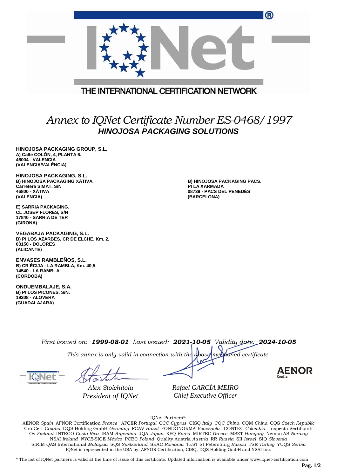|                                         | ® |
|-----------------------------------------|---|
|                                         |   |
| THE INTERNATIONAL CERTIFICATION NETWORK |   |
|                                         |   |

## *Annex to IQNet Certificate Number ES-0468/1997 HINOJOSA PACKAGING SOLUTIONS*

**HINOJOSA PACKAGING GROUP, S.L. A) Calle COLÓN, 4, PLANTA 6. 46004 - VALENCIA (VALENCIA/VALÉNCIA)**

**HINOJOSA PACKAGING, S.L. B) HINOJOSA PACKAGING XÁTIVA. Carretera SIMAT, S/N 46800 - XÁTIVA (VALENCIA)**

**E) SARRIÀ PACKAGING. CL JOSEP FLORES, S/N 17840 - SARRIA DE TER (GIRONA)**

**VEGABAJA PACKAGING, S.L. B) PI LOS AZARBES, CR DE ELCHE, Km. 2. 03150 - DOLORES (ALICANTE)**

**ENVASES RAMBLEÑOS, S.L. B) CR ÉCIJA - LA RAMBLA, Km. 40,5. 14540 - LA RAMBLA (CORDOBA)**

**ONDUEMBALAJE, S.A. B) PI LOS PICONES, S/N. 19208 - ALOVERA (GUADALAJARA)**

**B) HINOJOSA PACKAGING PACS. PI LA XARMADA 08739 - PACS DEL PENEDÉS (BARCELONA)**

*First issued on: 1999-08-01 Last issued: 2021-10-05 Validity date: 2024-10-05*

*This annex is only valid in connection with the above-mentioned certificate.*

*Alex Stoichitoiu President of IQNet* *Rafael GARCÍA MEIRO Chief Executive Officer*

**AENOR** 

IQNet Partners\*:

AENOR *Spain* AFNOR Certification *France* APCER *Portugal* CCC *Cyprus* CISQ *Italy* CQC *China* CQM *China* CQS *Czech Republic*  Cro Cert *Croatia* DQS Holding GmbH *Germany* FCAV *Brazil* FONDONORMA *Venezuela* ICONTEC *Colombia* Inspecta Sertifiointi Oy *Finland* INTECO *Costa Rica* IRAM *Argentina* JQA *Japan* KFQ *Korea* MIRTEC *Greece* MSZT *Hungary* Nemko AS *Norway*  NSAI *Ireland NYCE-*SIGE *México* PCBC *Poland* Quality Austria *Austria* RR *Russia* SII *Israel* SIQ *Slovenia*  SIRIM QAS International *Malaysia* SQS *Switzerland* SRAC *Romania* TEST St Petersburg *Russia* TSE *Turkey* YUQS *Serbia* IQNet is represented in the USA by: AFNOR Certification, CISQ, DQS Holding GmbH and NSAI Inc.

\* The list of IQNet partners is valid at the time of issue of this certificate. Updated information is available under www.iqnet-certification.com